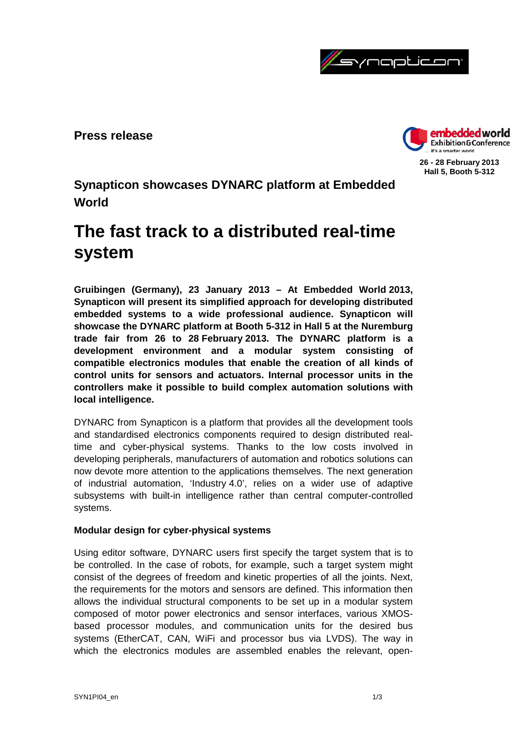

**Press release**



**26 - 28 February 2013 Hall 5, Booth 5-312**

**Synapticon showcases DYNARC platform at Embedded World**

# **The fast track to a distributed real-time system**

**Gruibingen (Germany), 23 January 2013 – At Embedded World 2013, Synapticon will present its simplified approach for developing distributed embedded systems to a wide professional audience. Synapticon will showcase the DYNARC platform at Booth 5-312 in Hall 5 at the Nuremburg trade fair from 26 to 28 February 2013. The DYNARC platform is a development environment and a modular system consisting of compatible electronics modules that enable the creation of all kinds of control units for sensors and actuators. Internal processor units in the controllers make it possible to build complex automation solutions with local intelligence.**

DYNARC from Synapticon is a platform that provides all the development tools and standardised electronics components required to design distributed realtime and cyber-physical systems. Thanks to the low costs involved in developing peripherals, manufacturers of automation and robotics solutions can now devote more attention to the applications themselves. The next generation of industrial automation, 'Industry 4.0', relies on a wider use of adaptive subsystems with built-in intelligence rather than central computer-controlled systems.

## **Modular design for cyber-physical systems**

Using editor software, DYNARC users first specify the target system that is to be controlled. In the case of robots, for example, such a target system might consist of the degrees of freedom and kinetic properties of all the joints. Next, the requirements for the motors and sensors are defined. This information then allows the individual structural components to be set up in a modular system composed of motor power electronics and sensor interfaces, various XMOSbased processor modules, and communication units for the desired bus systems (EtherCAT, CAN, WiFi and processor bus via LVDS). The way in which the electronics modules are assembled enables the relevant, open-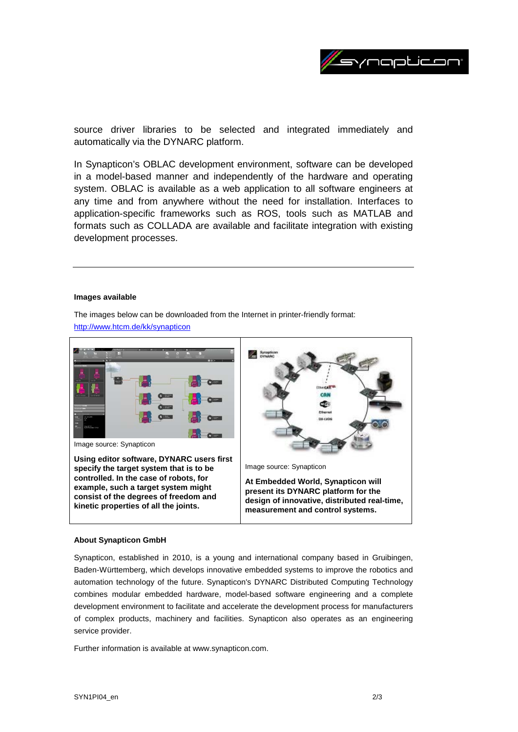

source driver libraries to be selected and integrated immediately and automatically via the DYNARC platform.

In Synapticon's OBLAC development environment, software can be developed in a model-based manner and independently of the hardware and operating system. OBLAC is available as a web application to all software engineers at any time and from anywhere without the need for installation. Interfaces to application-specific frameworks such as ROS, tools such as MATLAB and formats such as COLLADA are available and facilitate integration with existing development processes.

#### **Images available**

The images below can be downloaded from the Internet in printer-friendly format:

<http://www.htcm.de/kk/synapticon>



#### **About Synapticon GmbH**

Synapticon, established in 2010, is a young and international company based in Gruibingen, Baden-Württemberg, which develops innovative embedded systems to improve the robotics and automation technology of the future. Synapticon's DYNARC Distributed Computing Technology combines modular embedded hardware, model-based software engineering and a complete development environment to facilitate and accelerate the development process for manufacturers of complex products, machinery and facilities. Synapticon also operates as an engineering service provider.

Further information is available at www.synapticon.com.